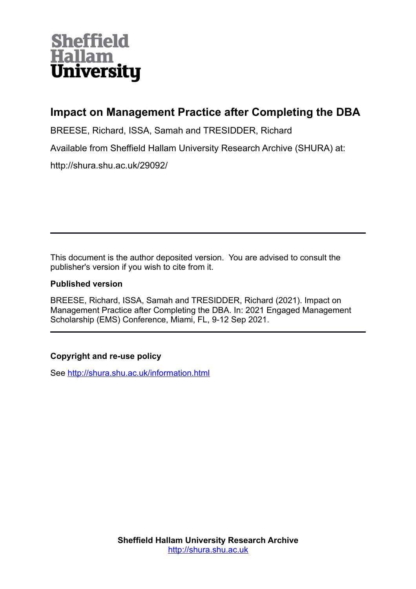# **Sheffield Hallam University**

## **Impact on Management Practice after Completing the DBA**

BREESE, Richard, ISSA, Samah and TRESIDDER, Richard

Available from Sheffield Hallam University Research Archive (SHURA) at:

http://shura.shu.ac.uk/29092/

This document is the author deposited version. You are advised to consult the publisher's version if you wish to cite from it.

## **Published version**

BREESE, Richard, ISSA, Samah and TRESIDDER, Richard (2021). Impact on Management Practice after Completing the DBA. In: 2021 Engaged Management Scholarship (EMS) Conference, Miami, FL, 9-12 Sep 2021.

## **Copyright and re-use policy**

See<http://shura.shu.ac.uk/information.html>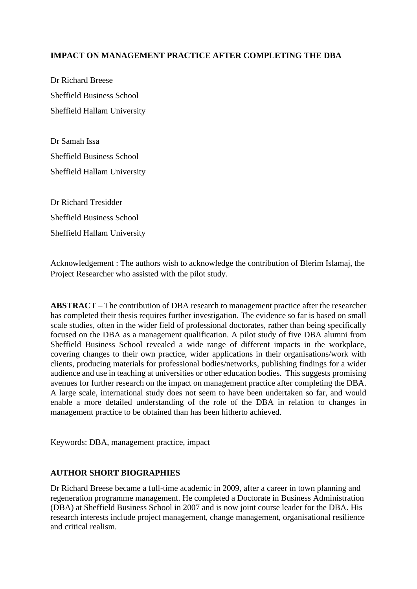## **IMPACT ON MANAGEMENT PRACTICE AFTER COMPLETING THE DBA**

Dr Richard Breese Sheffield Business School Sheffield Hallam University

Dr Samah Issa Sheffield Business School Sheffield Hallam University

Dr Richard Tresidder Sheffield Business School Sheffield Hallam University

Acknowledgement : The authors wish to acknowledge the contribution of Blerim Islamaj, the Project Researcher who assisted with the pilot study.

**ABSTRACT** – The contribution of DBA research to management practice after the researcher has completed their thesis requires further investigation. The evidence so far is based on small scale studies, often in the wider field of professional doctorates, rather than being specifically focused on the DBA as a management qualification. A pilot study of five DBA alumni from Sheffield Business School revealed a wide range of different impacts in the workplace, covering changes to their own practice, wider applications in their organisations/work with clients, producing materials for professional bodies/networks, publishing findings for a wider audience and use in teaching at universities or other education bodies. This suggests promising avenues for further research on the impact on management practice after completing the DBA. A large scale, international study does not seem to have been undertaken so far, and would enable a more detailed understanding of the role of the DBA in relation to changes in management practice to be obtained than has been hitherto achieved.

Keywords: DBA, management practice, impact

#### **AUTHOR SHORT BIOGRAPHIES**

Dr Richard Breese became a full-time academic in 2009, after a career in town planning and regeneration programme management. He completed a Doctorate in Business Administration (DBA) at Sheffield Business School in 2007 and is now joint course leader for the DBA. His research interests include project management, change management, organisational resilience and critical realism.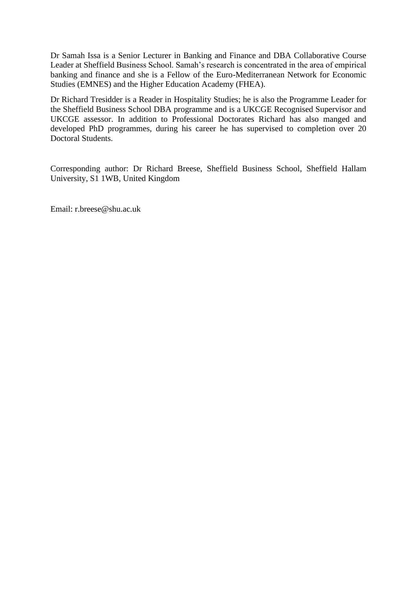Dr Samah Issa is a Senior Lecturer in Banking and Finance and DBA Collaborative Course Leader at Sheffield Business School. Samah's research is concentrated in the area of empirical banking and finance and she is a Fellow of the Euro-Mediterranean Network for Economic Studies (EMNES) and the Higher Education Academy (FHEA).

Dr Richard Tresidder is a Reader in Hospitality Studies; he is also the Programme Leader for the Sheffield Business School DBA programme and is a UKCGE Recognised Supervisor and UKCGE assessor. In addition to Professional Doctorates Richard has also manged and developed PhD programmes, during his career he has supervised to completion over 20 Doctoral Students.

Corresponding author: Dr Richard Breese, Sheffield Business School, Sheffield Hallam University, S1 1WB, United Kingdom

Email: r.breese@shu.ac.uk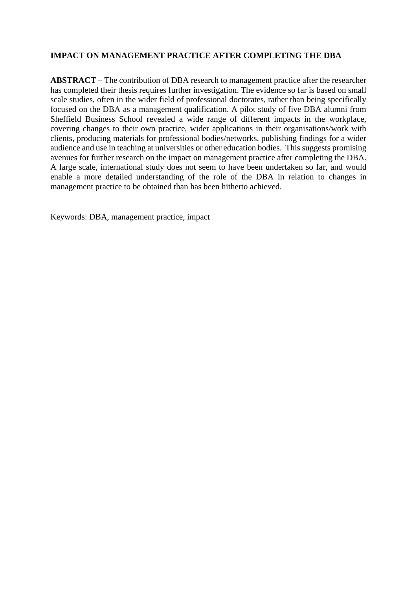## **IMPACT ON MANAGEMENT PRACTICE AFTER COMPLETING THE DBA**

**ABSTRACT** – The contribution of DBA research to management practice after the researcher has completed their thesis requires further investigation. The evidence so far is based on small scale studies, often in the wider field of professional doctorates, rather than being specifically focused on the DBA as a management qualification. A pilot study of five DBA alumni from Sheffield Business School revealed a wide range of different impacts in the workplace, covering changes to their own practice, wider applications in their organisations/work with clients, producing materials for professional bodies/networks, publishing findings for a wider audience and use in teaching at universities or other education bodies. This suggests promising avenues for further research on the impact on management practice after completing the DBA. A large scale, international study does not seem to have been undertaken so far, and would enable a more detailed understanding of the role of the DBA in relation to changes in management practice to be obtained than has been hitherto achieved.

Keywords: DBA, management practice, impact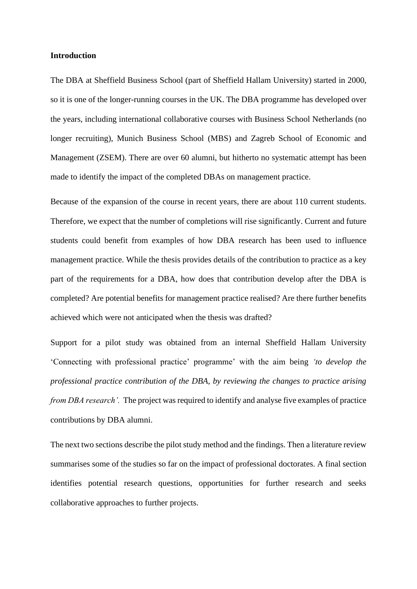#### **Introduction**

The DBA at Sheffield Business School (part of Sheffield Hallam University) started in 2000, so it is one of the longer-running courses in the UK. The DBA programme has developed over the years, including international collaborative courses with Business School Netherlands (no longer recruiting), Munich Business School (MBS) and Zagreb School of Economic and Management (ZSEM). There are over 60 alumni, but hitherto no systematic attempt has been made to identify the impact of the completed DBAs on management practice.

Because of the expansion of the course in recent years, there are about 110 current students. Therefore, we expect that the number of completions will rise significantly. Current and future students could benefit from examples of how DBA research has been used to influence management practice. While the thesis provides details of the contribution to practice as a key part of the requirements for a DBA, how does that contribution develop after the DBA is completed? Are potential benefits for management practice realised? Are there further benefits achieved which were not anticipated when the thesis was drafted?

Support for a pilot study was obtained from an internal Sheffield Hallam University 'Connecting with professional practice' programme' with the aim being *'to develop the professional practice contribution of the DBA, by reviewing the changes to practice arising from DBA research'.* The project was required to identify and analyse five examples of practice contributions by DBA alumni.

The next two sections describe the pilot study method and the findings. Then a literature review summarises some of the studies so far on the impact of professional doctorates. A final section identifies potential research questions, opportunities for further research and seeks collaborative approaches to further projects.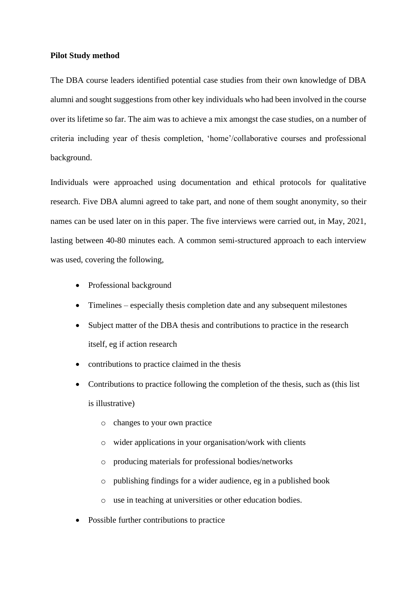#### **Pilot Study method**

The DBA course leaders identified potential case studies from their own knowledge of DBA alumni and sought suggestions from other key individuals who had been involved in the course over its lifetime so far. The aim was to achieve a mix amongst the case studies, on a number of criteria including year of thesis completion, 'home'/collaborative courses and professional background.

Individuals were approached using documentation and ethical protocols for qualitative research. Five DBA alumni agreed to take part, and none of them sought anonymity, so their names can be used later on in this paper. The five interviews were carried out, in May, 2021, lasting between 40-80 minutes each. A common semi-structured approach to each interview was used, covering the following,

- Professional background
- Timelines especially thesis completion date and any subsequent milestones
- Subject matter of the DBA thesis and contributions to practice in the research itself, eg if action research
- contributions to practice claimed in the thesis
- Contributions to practice following the completion of the thesis, such as (this list is illustrative)
	- o changes to your own practice
	- o wider applications in your organisation/work with clients
	- o producing materials for professional bodies/networks
	- o publishing findings for a wider audience, eg in a published book
	- o use in teaching at universities or other education bodies.
- Possible further contributions to practice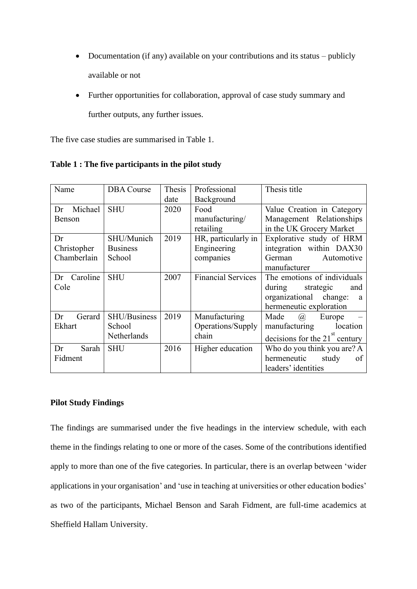- Documentation (if any) available on your contributions and its status publicly available or not
- Further opportunities for collaboration, approval of case study summary and further outputs, any further issues.

The five case studies are summarised in Table 1.

| Name           | <b>DBA</b> Course   | Thesis | Professional              | Thesis title                                 |
|----------------|---------------------|--------|---------------------------|----------------------------------------------|
|                |                     | date   | Background                |                                              |
| Michael<br>Dr  | <b>SHU</b>          | 2020   | Food                      | Value Creation in Category                   |
| <b>Benson</b>  |                     |        | manufacturing/            | Management Relationships                     |
|                |                     |        | retailing                 | in the UK Grocery Market                     |
| Dr             | SHU/Munich          | 2019   | HR, particularly in       | Explorative study of HRM                     |
| Christopher    | <b>Business</b>     |        | Engineering               | integration within DAX30                     |
| Chamberlain    | School              |        | companies                 | German<br>Automotive                         |
|                |                     |        |                           | manufacturer                                 |
| Caroline<br>Dr | <b>SHU</b>          | 2007   | <b>Financial Services</b> | The emotions of individuals                  |
| Cole           |                     |        |                           | during<br>strategic<br>and                   |
|                |                     |        |                           | organizational change:<br>a                  |
|                |                     |        |                           | hermeneutic exploration                      |
| Dr<br>Gerard   | <b>SHU/Business</b> | 2019   | Manufacturing             | Made<br>$\left(\widehat{a}\right)$<br>Europe |
| Ekhart         | School              |        | Operations/Supply         | location<br>manufacturing                    |
|                | Netherlands         |        | chain                     | decisions for the 21 $^{st}$ century         |
| Sarah<br>Dr    | <b>SHU</b>          | 2016   | Higher education          | Who do you think you are? A                  |
| Fidment        |                     |        |                           | hermeneutic<br>study<br>of                   |
|                |                     |        |                           | leaders' identities                          |

**Table 1 : The five participants in the pilot study**

## **Pilot Study Findings**

The findings are summarised under the five headings in the interview schedule, with each theme in the findings relating to one or more of the cases. Some of the contributions identified apply to more than one of the five categories. In particular, there is an overlap between 'wider applications in your organisation' and 'use in teaching at universities or other education bodies' as two of the participants, Michael Benson and Sarah Fidment, are full-time academics at Sheffield Hallam University.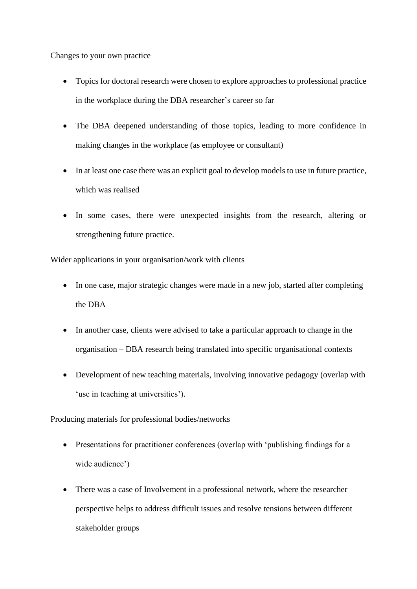Changes to your own practice

- Topics for doctoral research were chosen to explore approaches to professional practice in the workplace during the DBA researcher's career so far
- The DBA deepened understanding of those topics, leading to more confidence in making changes in the workplace (as employee or consultant)
- In at least one case there was an explicit goal to develop models to use in future practice, which was realised
- In some cases, there were unexpected insights from the research, altering or strengthening future practice.

Wider applications in your organisation/work with clients

- In one case, major strategic changes were made in a new job, started after completing the DBA
- In another case, clients were advised to take a particular approach to change in the organisation – DBA research being translated into specific organisational contexts
- Development of new teaching materials, involving innovative pedagogy (overlap with 'use in teaching at universities').

Producing materials for professional bodies/networks

- Presentations for practitioner conferences (overlap with 'publishing findings for a wide audience')
- There was a case of Involvement in a professional network, where the researcher perspective helps to address difficult issues and resolve tensions between different stakeholder groups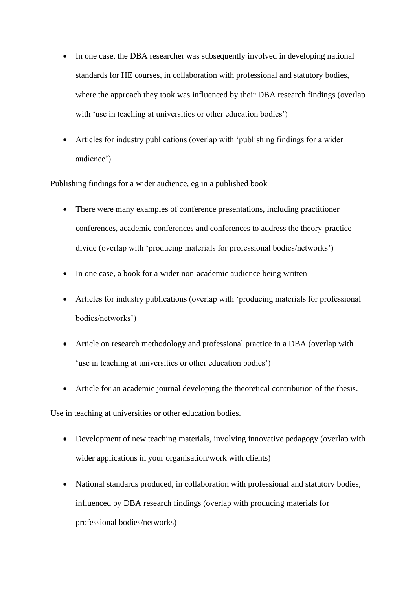- In one case, the DBA researcher was subsequently involved in developing national standards for HE courses, in collaboration with professional and statutory bodies, where the approach they took was influenced by their DBA research findings (overlap with 'use in teaching at universities or other education bodies')
- Articles for industry publications (overlap with 'publishing findings for a wider audience').

Publishing findings for a wider audience, eg in a published book

- There were many examples of conference presentations, including practitioner conferences, academic conferences and conferences to address the theory-practice divide (overlap with 'producing materials for professional bodies/networks')
- In one case, a book for a wider non-academic audience being written
- Articles for industry publications (overlap with 'producing materials for professional bodies/networks')
- Article on research methodology and professional practice in a DBA (overlap with 'use in teaching at universities or other education bodies')
- Article for an academic journal developing the theoretical contribution of the thesis.

Use in teaching at universities or other education bodies.

- Development of new teaching materials, involving innovative pedagogy (overlap with wider applications in your organisation/work with clients)
- National standards produced, in collaboration with professional and statutory bodies, influenced by DBA research findings (overlap with producing materials for professional bodies/networks)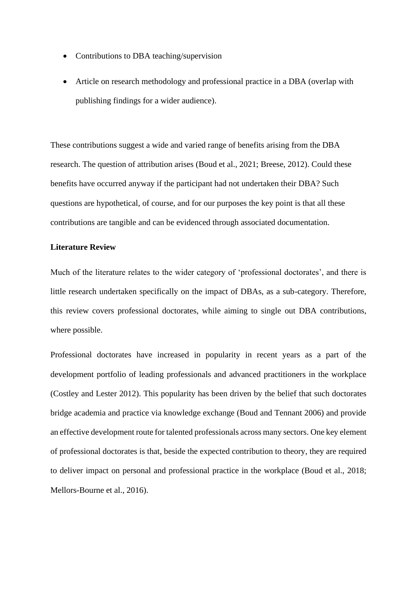- Contributions to DBA teaching/supervision
- Article on research methodology and professional practice in a DBA (overlap with publishing findings for a wider audience).

These contributions suggest a wide and varied range of benefits arising from the DBA research. The question of attribution arises (Boud et al., 2021; Breese, 2012). Could these benefits have occurred anyway if the participant had not undertaken their DBA? Such questions are hypothetical, of course, and for our purposes the key point is that all these contributions are tangible and can be evidenced through associated documentation.

#### **Literature Review**

Much of the literature relates to the wider category of 'professional doctorates', and there is little research undertaken specifically on the impact of DBAs, as a sub-category. Therefore, this review covers professional doctorates, while aiming to single out DBA contributions, where possible.

Professional doctorates have increased in popularity in recent years as a part of the development portfolio of leading professionals and advanced practitioners in the workplace (Costley and Lester 2012). This popularity has been driven by the belief that such doctorates bridge academia and practice via knowledge exchange (Boud and Tennant 2006) and provide an effective development route for talented professionals across many sectors. One key element of professional doctorates is that, beside the expected contribution to theory, they are required to deliver impact on personal and professional practice in the workplace (Boud et al., 2018; Mellors-Bourne et al., 2016).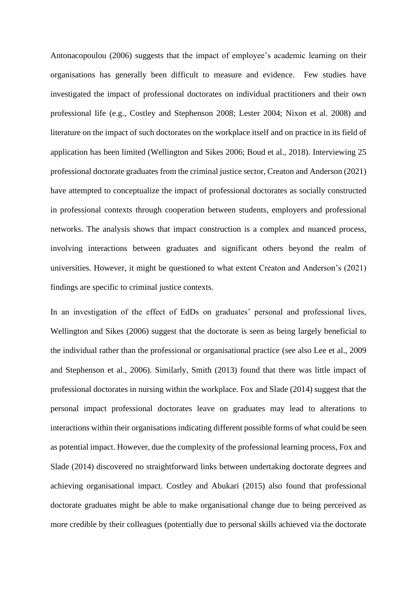Antonacopoulou (2006) suggests that the impact of employee's academic learning on their organisations has generally been difficult to measure and evidence. Few studies have investigated the impact of professional doctorates on individual practitioners and their own professional life (e.g., Costley and Stephenson 2008; Lester 2004; Nixon et al. 2008) and literature on the impact of such doctorates on the workplace itself and on practice in its field of application has been limited (Wellington and Sikes 2006; Boud et al., 2018). Interviewing 25 professional doctorate graduates from the criminal justice sector, Creaton and Anderson (2021) have attempted to conceptualize the impact of professional doctorates as socially constructed in professional contexts through cooperation between students, employers and professional networks. The analysis shows that impact construction is a complex and nuanced process, involving interactions between graduates and significant others beyond the realm of universities. However, it might be questioned to what extent Creaton and Anderson's (2021) findings are specific to criminal justice contexts.

In an investigation of the effect of EdDs on graduates' personal and professional lives, Wellington and Sikes (2006) suggest that the doctorate is seen as being largely beneficial to the individual rather than the professional or organisational practice (see also Lee et al., 2009 and Stephenson et al., 2006). Similarly, Smith (2013) found that there was little impact of professional doctorates in nursing within the workplace. Fox and Slade (2014) suggest that the personal impact professional doctorates leave on graduates may lead to alterations to interactions within their organisations indicating different possible forms of what could be seen as potential impact. However, due the complexity of the professional learning process, Fox and Slade (2014) discovered no straightforward links between undertaking doctorate degrees and achieving organisational impact. Costley and Abukari (2015) also found that professional doctorate graduates might be able to make organisational change due to being perceived as more credible by their colleagues (potentially due to personal skills achieved via the doctorate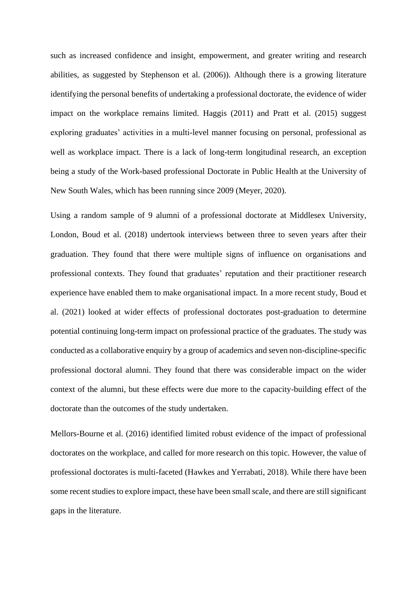such as increased confidence and insight, empowerment, and greater writing and research abilities, as suggested by Stephenson et al. (2006)). Although there is a growing literature identifying the personal benefits of undertaking a professional doctorate, the evidence of wider impact on the workplace remains limited. Haggis (2011) and Pratt et al. (2015) suggest exploring graduates' activities in a multi-level manner focusing on personal, professional as well as workplace impact. There is a lack of long-term longitudinal research, an exception being a study of the Work-based professional Doctorate in Public Health at the University of New South Wales, which has been running since 2009 (Meyer, 2020).

Using a random sample of 9 alumni of a professional doctorate at Middlesex University, London, Boud et al. (2018) undertook interviews between three to seven years after their graduation. They found that there were multiple signs of influence on organisations and professional contexts. They found that graduates' reputation and their practitioner research experience have enabled them to make organisational impact. In a more recent study, Boud et al. (2021) looked at wider effects of professional doctorates post-graduation to determine potential continuing long-term impact on professional practice of the graduates. The study was conducted as a collaborative enquiry by a group of academics and seven non-discipline-specific professional doctoral alumni. They found that there was considerable impact on the wider context of the alumni, but these effects were due more to the capacity-building effect of the doctorate than the outcomes of the study undertaken.

Mellors-Bourne et al. (2016) identified limited robust evidence of the impact of professional doctorates on the workplace, and called for more research on this topic. However, the value of professional doctorates is multi-faceted (Hawkes and Yerrabati, 2018). While there have been some recent studies to explore impact, these have been small scale, and there are still significant gaps in the literature.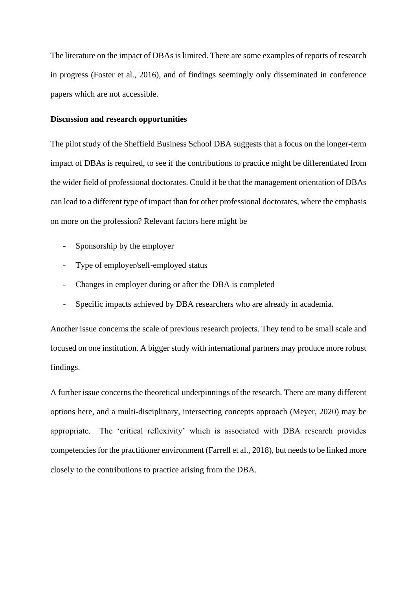The literature on the impact of DBAs is limited. There are some examples of reports of research in progress (Foster et al., 2016), and of findings seemingly only disseminated in conference papers which are not accessible.

#### **Discussion and research opportunities**

The pilot study of the Sheffield Business School DBA suggests that a focus on the longer-term impact of DBAs is required, to see if the contributions to practice might be differentiated from the wider field of professional doctorates. Could it be that the management orientation of DBAs can lead to a different type of impact than for other professional doctorates, where the emphasis on more on the profession? Relevant factors here might be

- Sponsorship by the employer
- Type of employer/self-employed status
- Changes in employer during or after the DBA is completed
- Specific impacts achieved by DBA researchers who are already in academia.

Another issue concerns the scale of previous research projects. They tend to be small scale and focused on one institution. A bigger study with international partners may produce more robust findings.

A further issue concerns the theoretical underpinnings of the research. There are many different options here, and a multi-disciplinary, intersecting concepts approach (Meyer, 2020) may be appropriate. The 'critical reflexivity' which is associated with DBA research provides competencies for the practitioner environment (Farrell et al., 2018), but needs to be linked more closely to the contributions to practice arising from the DBA.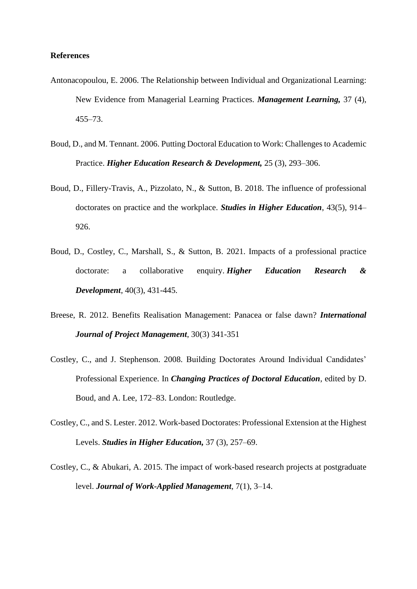#### **References**

- Antonacopoulou, E. 2006. The Relationship between Individual and Organizational Learning: New Evidence from Managerial Learning Practices. *Management Learning,* 37 (4), 455–73.
- Boud, D., and M. Tennant. 2006. Putting Doctoral Education to Work: Challenges to Academic Practice. *Higher Education Research & Development,* 25 (3), 293–306.
- Boud, D., Fillery-Travis, A., Pizzolato, N., & Sutton, B. 2018. The influence of professional doctorates on practice and the workplace. *Studies in Higher Education*, 43(5), 914– 926.
- Boud, D., Costley, C., Marshall, S., & Sutton, B. 2021. Impacts of a professional practice doctorate: a collaborative enquiry. *Higher Education Research & Development*, 40(3), 431-445.
- Breese, R. 2012. Benefits Realisation Management: Panacea or false dawn? *International Journal of Project Management*, 30(3) 341-351
- Costley, C., and J. Stephenson. 2008. Building Doctorates Around Individual Candidates' Professional Experience. In *Changing Practices of Doctoral Education*, edited by D. Boud, and A. Lee, 172–83. London: Routledge.
- Costley, C., and S. Lester. 2012. Work-based Doctorates: Professional Extension at the Highest Levels. *Studies in Higher Education,* 37 (3), 257–69.
- Costley, C., & Abukari, A. 2015. The impact of work-based research projects at postgraduate level. *Journal of Work-Applied Management*, 7(1), 3–14.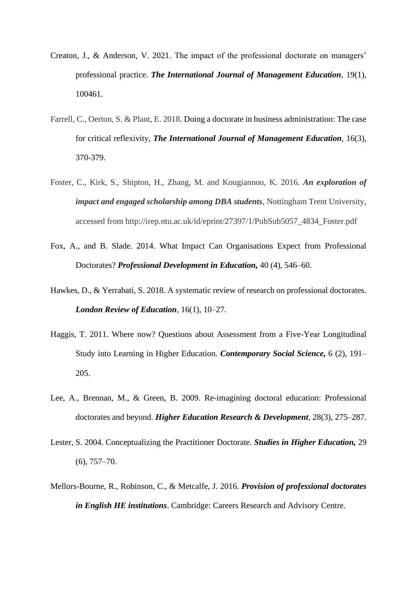- Creaton, J., & Anderson, V. 2021. The impact of the professional doctorate on managers' professional practice. *The International Journal of Management Education*, 19(1), 100461.
- Farrell, C., Oerton, S. & Plant, E. 2018. Doing a doctorate in business administration: The case for critical reflexivity, *The International Journal of Management Education*, 16(3), 370-379.
- Foster, C., Kirk, S., Shipton, H., Zhang, M. and Kougiannou, K. 2016. *An exploration of impact and engaged scholarship among DBA students*, Nottingham Trent University, accessed from http://irep.ntu.ac.uk/id/eprint/27397/1/PubSub5057\_4834\_Foster.pdf
- Fox, A., and B. Slade. 2014. What Impact Can Organisations Expect from Professional Doctorates? *Professional Development in Education,* 40 (4), 546–60.
- Hawkes, D., & Yerrabati, S. 2018. A systematic review of research on professional doctorates. *London Review of Education*, 16(1), 10–27.
- Haggis, T. 2011. Where now? Questions about Assessment from a Five-Year Longitudinal Study into Learning in Higher Education. *Contemporary Social Science,* 6 (2), 191– 205.
- Lee, A., Brennan, M., & Green, B. 2009. Re-imagining doctoral education: Professional doctorates and beyond. *Higher Education Research & Development*, 28(3), 275–287.
- Lester, S. 2004. Conceptualizing the Practitioner Doctorate. *Studies in Higher Education,* 29 (6), 757–70.
- Mellors-Bourne, R., Robinson, C., & Metcalfe, J. 2016. *Provision of professional doctorates in English HE institutions*. Cambridge: Careers Research and Advisory Centre.